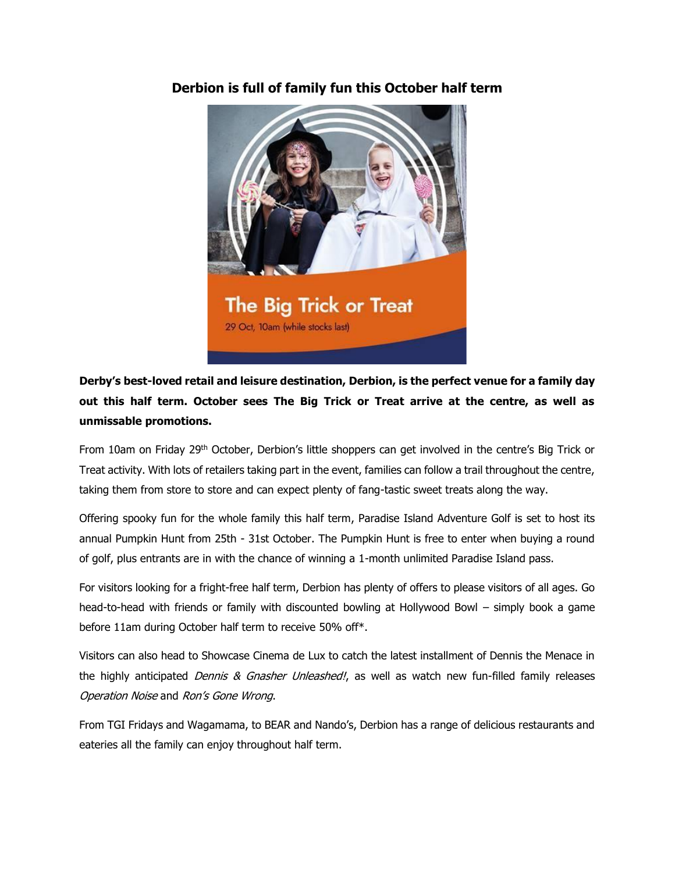

# **Derbion is full of family fun this October half term**

**Derby's best-loved retail and leisure destination, Derbion, is the perfect venue for a family day out this half term. October sees The Big Trick or Treat arrive at the centre, as well as unmissable promotions.**

From 10am on Friday 29<sup>th</sup> October, Derbion's little shoppers can get involved in the centre's Big Trick or Treat activity. With lots of retailers taking part in the event, families can follow a trail throughout the centre, taking them from store to store and can expect plenty of fang-tastic sweet treats along the way.

Offering spooky fun for the whole family this half term, Paradise Island Adventure Golf is set to host its annual Pumpkin Hunt from 25th - 31st October. The Pumpkin Hunt is free to enter when buying a round of golf, plus entrants are in with the chance of winning a 1-month unlimited Paradise Island pass.

For visitors looking for a fright-free half term, Derbion has plenty of offers to please visitors of all ages. Go head-to-head with friends or family with discounted bowling at Hollywood Bowl – simply book a game before 11am during October half term to receive 50% off\*.

Visitors can also head to Showcase Cinema de Lux to catch the latest installment of Dennis the Menace in the highly anticipated *Dennis & Gnasher Unleashed!*, as well as watch new fun-filled family releases Operation Noise and Ron's Gone Wrong.

From TGI Fridays and Wagamama, to BEAR and Nando's, Derbion has a range of delicious restaurants and eateries all the family can enjoy throughout half term.